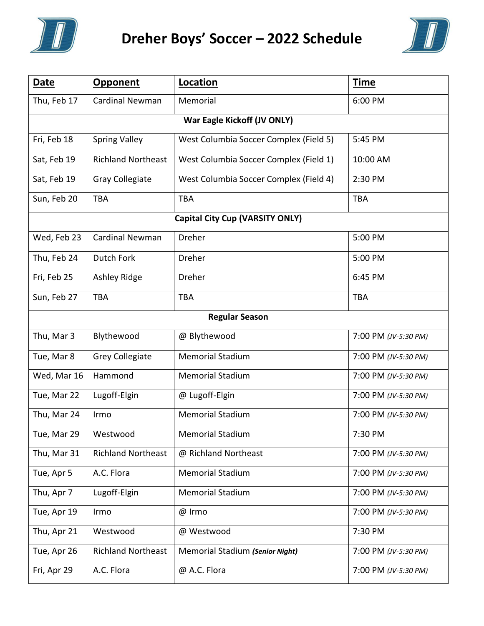

## **Dreher Boys' Soccer – 2022 Schedule**



| <b>Date</b>                            | <b>Opponent</b>           | Location                               | <b>Time</b>          |
|----------------------------------------|---------------------------|----------------------------------------|----------------------|
| Thu, Feb 17                            | <b>Cardinal Newman</b>    | Memorial                               | 6:00 PM              |
| War Eagle Kickoff (JV ONLY)            |                           |                                        |                      |
| Fri, Feb 18                            | <b>Spring Valley</b>      | West Columbia Soccer Complex (Field 5) | 5:45 PM              |
| Sat, Feb 19                            | <b>Richland Northeast</b> | West Columbia Soccer Complex (Field 1) | 10:00 AM             |
| Sat, Feb 19                            | Gray Collegiate           | West Columbia Soccer Complex (Field 4) | 2:30 PM              |
| Sun, Feb 20                            | <b>TBA</b>                | <b>TBA</b>                             | <b>TBA</b>           |
| <b>Capital City Cup (VARSITY ONLY)</b> |                           |                                        |                      |
| Wed, Feb 23                            | <b>Cardinal Newman</b>    | Dreher                                 | 5:00 PM              |
| Thu, Feb 24                            | Dutch Fork                | Dreher                                 | 5:00 PM              |
| Fri, Feb 25                            | Ashley Ridge              | Dreher                                 | 6:45 PM              |
| Sun, Feb 27                            | <b>TBA</b>                | <b>TBA</b>                             | <b>TBA</b>           |
| <b>Regular Season</b>                  |                           |                                        |                      |
| Thu, Mar 3                             | Blythewood                | @ Blythewood                           | 7:00 PM (JV-5:30 PM) |
| Tue, Mar 8                             | <b>Grey Collegiate</b>    | <b>Memorial Stadium</b>                | 7:00 PM (JV-5:30 PM) |
| Wed, Mar 16                            | Hammond                   | <b>Memorial Stadium</b>                | 7:00 PM (JV-5:30 PM) |
| Tue, Mar 22                            | Lugoff-Elgin              | @ Lugoff-Elgin                         | 7:00 PM (JV-5:30 PM) |
| Thu, Mar 24                            | Irmo                      | <b>Memorial Stadium</b>                | 7:00 PM (JV-5:30 PM) |
| Tue, Mar 29                            | Westwood                  | <b>Memorial Stadium</b>                | 7:30 PM              |
| Thu, Mar 31                            | <b>Richland Northeast</b> | @ Richland Northeast                   | 7:00 PM (JV-5:30 PM) |
| Tue, Apr 5                             | A.C. Flora                | <b>Memorial Stadium</b>                | 7:00 PM (JV-5:30 PM) |
| Thu, Apr 7                             | Lugoff-Elgin              | <b>Memorial Stadium</b>                | 7:00 PM (JV-5:30 PM) |
| Tue, Apr 19                            | Irmo                      | @ Irmo                                 | 7:00 PM (JV-5:30 PM) |
| Thu, Apr 21                            | Westwood                  | @ Westwood                             | 7:30 PM              |
| Tue, Apr 26                            | <b>Richland Northeast</b> | Memorial Stadium (Senior Night)        | 7:00 PM (JV-5:30 PM) |
| Fri, Apr 29                            | A.C. Flora                | @ A.C. Flora                           | 7:00 PM (JV-5:30 PM) |